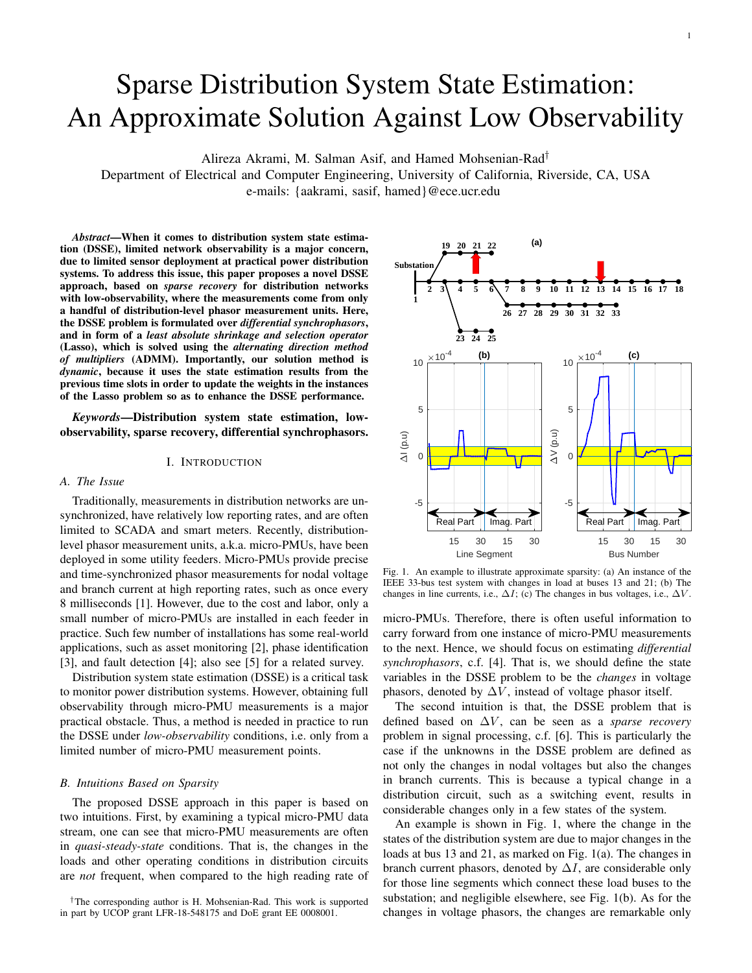# Sparse Distribution System State Estimation: An Approximate Solution Against Low Observability

Alireza Akrami, M. Salman Asif, and Hamed Mohsenian-Rad†

Department of Electrical and Computer Engineering, University of California, Riverside, CA, USA e-mails: {aakrami, sasif, hamed}@ece.ucr.edu

*Abstract*—When it comes to distribution system state estimation (DSSE), limited network observability is a major concern, due to limited sensor deployment at practical power distribution systems. To address this issue, this paper proposes a novel DSSE approach, based on *sparse recovery* for distribution networks with low-observability, where the measurements come from only a handful of distribution-level phasor measurement units. Here, the DSSE problem is formulated over *differential synchrophasors*, and in form of a *least absolute shrinkage and selection operator* (Lasso), which is solved using the *alternating direction method of multipliers* (ADMM). Importantly, our solution method is *dynamic*, because it uses the state estimation results from the previous time slots in order to update the weights in the instances of the Lasso problem so as to enhance the DSSE performance.

*Keywords*—Distribution system state estimation, lowobservability, sparse recovery, differential synchrophasors.

#### I. INTRODUCTION

#### *A. The Issue*

Traditionally, measurements in distribution networks are unsynchronized, have relatively low reporting rates, and are often limited to SCADA and smart meters. Recently, distributionlevel phasor measurement units, a.k.a. micro-PMUs, have been deployed in some utility feeders. Micro-PMUs provide precise and time-synchronized phasor measurements for nodal voltage and branch current at high reporting rates, such as once every 8 milliseconds [1]. However, due to the cost and labor, only a small number of micro-PMUs are installed in each feeder in practice. Such few number of installations has some real-world applications, such as asset monitoring [2], phase identification [3], and fault detection [4]; also see [5] for a related survey.

Distribution system state estimation (DSSE) is a critical task to monitor power distribution systems. However, obtaining full observability through micro-PMU measurements is a major practical obstacle. Thus, a method is needed in practice to run the DSSE under *low-observability* conditions, i.e. only from a limited number of micro-PMU measurement points.

#### *B. Intuitions Based on Sparsity*

The proposed DSSE approach in this paper is based on two intuitions. First, by examining a typical micro-PMU data stream, one can see that micro-PMU measurements are often in *quasi-steady-state* conditions. That is, the changes in the loads and other operating conditions in distribution circuits are *not* frequent, when compared to the high reading rate of



Fig. 1. An example to illustrate approximate sparsity: (a) An instance of the IEEE 33-bus test system with changes in load at buses 13 and 21; (b) The changes in line currents, i.e.,  $\Delta I$ ; (c) The changes in bus voltages, i.e.,  $\Delta V$ .

micro-PMUs. Therefore, there is often useful information to carry forward from one instance of micro-PMU measurements to the next. Hence, we should focus on estimating *differential synchrophasors*, c.f. [4]. That is, we should define the state variables in the DSSE problem to be the *changes* in voltage phasors, denoted by  $\Delta V$ , instead of voltage phasor itself.

The second intuition is that, the DSSE problem that is defined based on  $\Delta V$ , can be seen as a *sparse recovery* problem in signal processing, c.f. [6]. This is particularly the case if the unknowns in the DSSE problem are defined as not only the changes in nodal voltages but also the changes in branch currents. This is because a typical change in a distribution circuit, such as a switching event, results in considerable changes only in a few states of the system.

An example is shown in Fig. 1, where the change in the states of the distribution system are due to major changes in the loads at bus 13 and 21, as marked on Fig. 1(a). The changes in branch current phasors, denoted by  $\Delta I$ , are considerable only for those line segments which connect these load buses to the substation; and negligible elsewhere, see Fig. 1(b). As for the changes in voltage phasors, the changes are remarkable only

<sup>†</sup>The corresponding author is H. Mohsenian-Rad. This work is supported in part by UCOP grant LFR-18-548175 and DoE grant EE 0008001.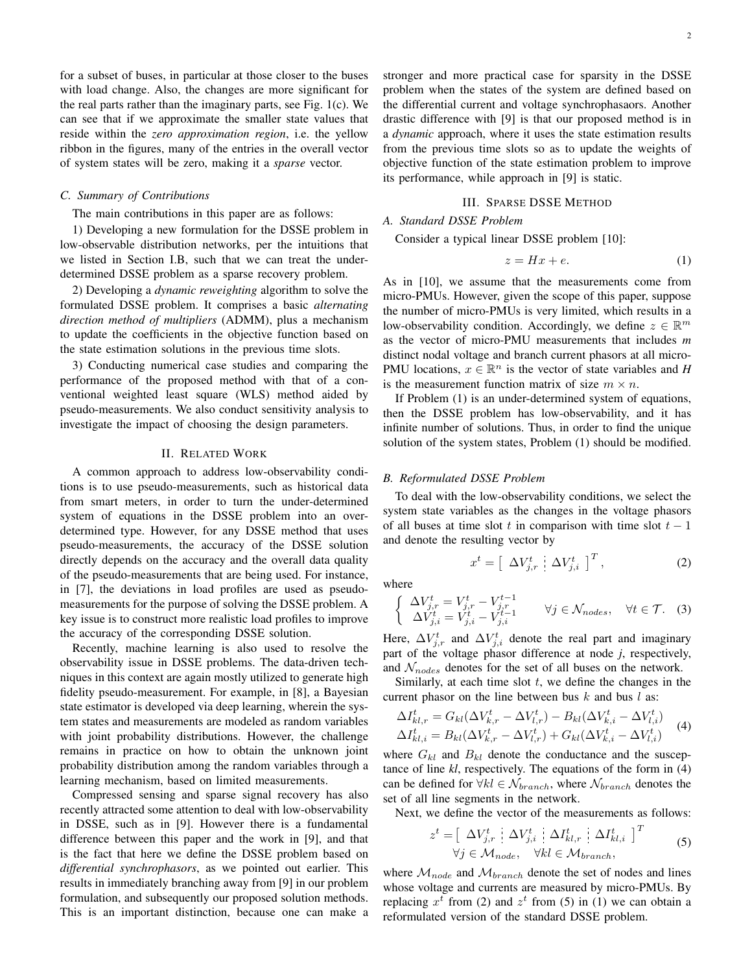for a subset of buses, in particular at those closer to the buses with load change. Also, the changes are more significant for the real parts rather than the imaginary parts, see Fig. 1(c). We can see that if we approximate the smaller state values that reside within the *zero approximation region*, i.e. the yellow ribbon in the figures, many of the entries in the overall vector of system states will be zero, making it a *sparse* vector.

#### *C. Summary of Contributions*

The main contributions in this paper are as follows:

1) Developing a new formulation for the DSSE problem in low-observable distribution networks, per the intuitions that we listed in Section I.B, such that we can treat the underdetermined DSSE problem as a sparse recovery problem.

2) Developing a *dynamic reweighting* algorithm to solve the formulated DSSE problem. It comprises a basic *alternating direction method of multipliers* (ADMM), plus a mechanism to update the coefficients in the objective function based on the state estimation solutions in the previous time slots.

3) Conducting numerical case studies and comparing the performance of the proposed method with that of a conventional weighted least square (WLS) method aided by pseudo-measurements. We also conduct sensitivity analysis to investigate the impact of choosing the design parameters.

#### II. RELATED WORK

A common approach to address low-observability conditions is to use pseudo-measurements, such as historical data from smart meters, in order to turn the under-determined system of equations in the DSSE problem into an overdetermined type. However, for any DSSE method that uses pseudo-measurements, the accuracy of the DSSE solution directly depends on the accuracy and the overall data quality of the pseudo-measurements that are being used. For instance, in [7], the deviations in load profiles are used as pseudomeasurements for the purpose of solving the DSSE problem. A key issue is to construct more realistic load profiles to improve the accuracy of the corresponding DSSE solution.

Recently, machine learning is also used to resolve the observability issue in DSSE problems. The data-driven techniques in this context are again mostly utilized to generate high fidelity pseudo-measurement. For example, in [8], a Bayesian state estimator is developed via deep learning, wherein the system states and measurements are modeled as random variables with joint probability distributions. However, the challenge remains in practice on how to obtain the unknown joint probability distribution among the random variables through a learning mechanism, based on limited measurements.

Compressed sensing and sparse signal recovery has also recently attracted some attention to deal with low-observability in DSSE, such as in [9]. However there is a fundamental difference between this paper and the work in [9], and that is the fact that here we define the DSSE problem based on *differential synchrophasors*, as we pointed out earlier. This results in immediately branching away from [9] in our problem formulation, and subsequently our proposed solution methods. This is an important distinction, because one can make a stronger and more practical case for sparsity in the DSSE problem when the states of the system are defined based on the differential current and voltage synchrophasaors. Another drastic difference with [9] is that our proposed method is in a *dynamic* approach, where it uses the state estimation results from the previous time slots so as to update the weights of objective function of the state estimation problem to improve its performance, while approach in [9] is static.

#### III. SPARSE DSSE METHOD

# *A. Standard DSSE Problem*

### Consider a typical linear DSSE problem [10]:

$$
z = Hx + e.\t\t(1)
$$

As in [10], we assume that the measurements come from micro-PMUs. However, given the scope of this paper, suppose the number of micro-PMUs is very limited, which results in a low-observability condition. Accordingly, we define  $z \in \mathbb{R}^m$ as the vector of micro-PMU measurements that includes *m* distinct nodal voltage and branch current phasors at all micro-PMU locations,  $x \in \mathbb{R}^n$  is the vector of state variables and *H* is the measurement function matrix of size  $m \times n$ .

If Problem (1) is an under-determined system of equations, then the DSSE problem has low-observability, and it has infinite number of solutions. Thus, in order to find the unique solution of the system states, Problem (1) should be modified.

#### *B. Reformulated DSSE Problem*

To deal with the low-observability conditions, we select the system state variables as the changes in the voltage phasors of all buses at time slot t in comparison with time slot  $t - 1$ and denote the resulting vector by

$$
x^{t} = \left[ \begin{array}{c} \Delta V_{j,r}^{t} \end{array} \right] \Delta V_{j,i}^{t} \left]^{T}, \tag{2}
$$

where

$$
\begin{cases}\n\Delta V_{j,r}^t = V_{j,r}^t - V_{j,r}^{t-1} \\
\Delta V_{j,i}^t = V_{j,i}^t - V_{j,i}^{t-1}\n\end{cases} \forall j \in \mathcal{N}_{nodes}, \forall t \in \mathcal{T}.
$$
\n(3)

Here,  $\Delta V_{j,r}^{t}$  and  $\Delta V_{j,i}^{t}$  denote the real part and imaginary part of the voltage phasor difference at node *j*, respectively, and  $\mathcal{N}_{nodes}$  denotes for the set of all buses on the network.

Similarly, at each time slot  $t$ , we define the changes in the current phasor on the line between bus  $k$  and bus  $l$  as:

$$
\Delta I_{kl,r}^t = G_{kl} (\Delta V_{k,r}^t - \Delta V_{l,r}^t) - B_{kl} (\Delta V_{k,i}^t - \Delta V_{l,i}^t) \n\Delta I_{kl,i}^t = B_{kl} (\Delta V_{k,r}^t - \Delta V_{l,r}^t) + G_{kl} (\Delta V_{k,i}^t - \Delta V_{l,i}^t)
$$
\n(4)

where  $G_{kl}$  and  $B_{kl}$  denote the conductance and the susceptance of line *kl*, respectively. The equations of the form in (4) can be defined for  $\forall kl \in \mathcal{N}_{branch}$ , where  $\mathcal{N}_{branch}$  denotes the set of all line segments in the network.

Next, we define the vector of the measurements as follows:

$$
z^{t} = \left[\begin{array}{c} \Delta V_{j,r}^{t} & \Delta V_{j,i}^{t} & \Delta I_{kl,r}^{t} & \Delta I_{kl,i}^{t} \end{array}\right]^{T}
$$
  
\n
$$
\forall j \in \mathcal{M}_{node}, \quad \forall kl \in \mathcal{M}_{branch},
$$
 (5)

where  $\mathcal{M}_{node}$  and  $\mathcal{M}_{branch}$  denote the set of nodes and lines whose voltage and currents are measured by micro-PMUs. By replacing  $x^t$  from (2) and  $z^t$  from (5) in (1) we can obtain a reformulated version of the standard DSSE problem.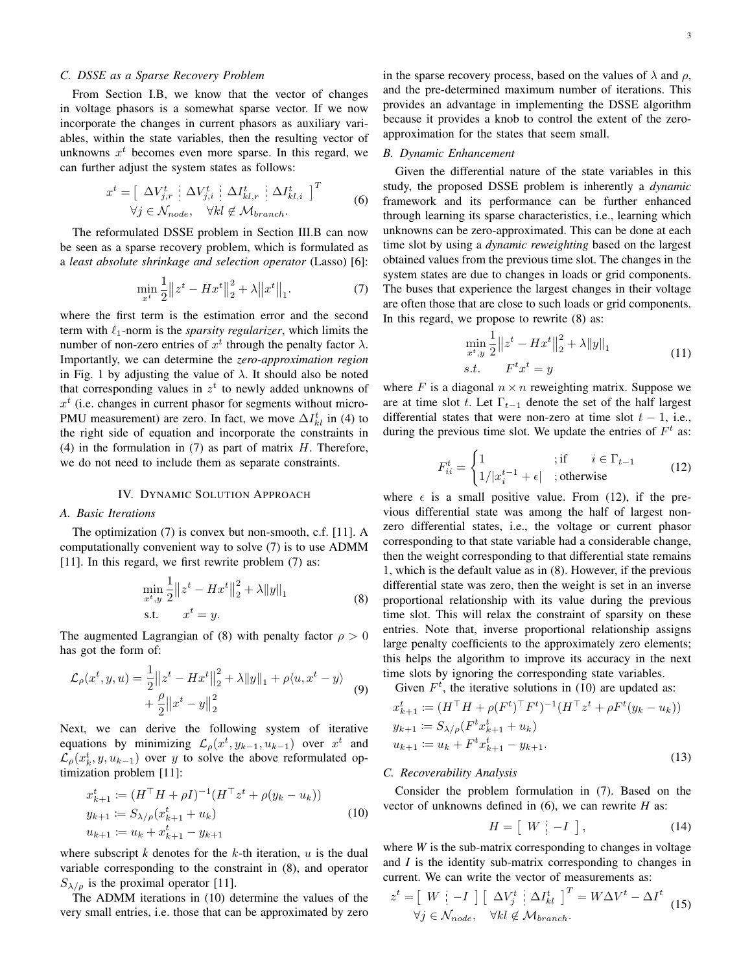#### *C. DSSE as a Sparse Recovery Problem*

From Section I.B, we know that the vector of changes in voltage phasors is a somewhat sparse vector. If we now incorporate the changes in current phasors as auxiliary variables, within the state variables, then the resulting vector of unknowns  $x<sup>t</sup>$  becomes even more sparse. In this regard, we can further adjust the system states as follows:

$$
x^{t} = \left[\begin{array}{c} \Delta V_{j,r}^{t} & \Delta V_{j,i}^{t} & \Delta I_{kl,r}^{t} & \Delta I_{kl,i}^{t} \end{array}\right]^{T}
$$
  

$$
\forall j \in \mathcal{N}_{node}, \quad \forall kl \notin \mathcal{M}_{branch}.
$$
 (6)

The reformulated DSSE problem in Section III.B can now be seen as a sparse recovery problem, which is formulated as a *least absolute shrinkage and selection operator* (Lasso) [6]:

$$
\min_{x^{t}} \frac{1}{2} \|z^{t} - Hx^{t}\|_{2}^{2} + \lambda \|x^{t}\|_{1}.
$$
 (7)

where the first term is the estimation error and the second term with  $\ell_1$ -norm is the *sparsity regularizer*, which limits the number of non-zero entries of  $x^t$  through the penalty factor  $\lambda$ . Importantly, we can determine the *zero-approximation region* in Fig. 1 by adjusting the value of  $\lambda$ . It should also be noted that corresponding values in  $z<sup>t</sup>$  to newly added unknowns of  $x<sup>t</sup>$  (i.e. changes in current phasor for segments without micro-PMU measurement) are zero. In fact, we move  $\Delta I_{kl}^{t}$  in (4) to the right side of equation and incorporate the constraints in (4) in the formulation in  $(7)$  as part of matrix H. Therefore, we do not need to include them as separate constraints.

#### IV. DYNAMIC SOLUTION APPROACH

#### *A. Basic Iterations*

The optimization (7) is convex but non-smooth, c.f. [11]. A computationally convenient way to solve (7) is to use ADMM [11]. In this regard, we first rewrite problem (7) as:

$$
\min_{x^t, y} \frac{1}{2} ||z^t - Hx^t||_2^2 + \lambda ||y||_1
$$
\n
$$
\text{s.t.} \qquad x^t = y. \tag{8}
$$

The augmented Lagrangian of (8) with penalty factor  $\rho > 0$ has got the form of:

$$
\mathcal{L}_{\rho}(x^{t}, y, u) = \frac{1}{2} ||z^{t} - Hx^{t}||_{2}^{2} + \lambda ||y||_{1} + \rho \langle u, x^{t} - y \rangle
$$
  
+ 
$$
\frac{\rho}{2} ||x^{t} - y||_{2}^{2}
$$
 (9)

Next, we can derive the following system of iterative equations by minimizing  $\mathcal{L}_{\rho}(x^t, y_{k-1}, u_{k-1})$  over  $x^t$  and  $\mathcal{L}_{\rho}(x_k^t, y, u_{k-1})$  over y to solve the above reformulated optimization problem [11]:

$$
x_{k+1}^t := (H^\top H + \rho I)^{-1} (H^\top z^t + \rho (y_k - u_k))
$$
  
\n
$$
y_{k+1} := S_{\lambda/\rho} (x_{k+1}^t + u_k)
$$
  
\n
$$
u_{k+1} := u_k + x_{k+1}^t - y_{k+1}
$$
\n(10)

where subscript  $k$  denotes for the  $k$ -th iteration,  $u$  is the dual variable corresponding to the constraint in (8), and operator  $S_{\lambda/\rho}$  is the proximal operator [11].

The ADMM iterations in (10) determine the values of the very small entries, i.e. those that can be approximated by zero in the sparse recovery process, based on the values of  $\lambda$  and  $\rho$ , and the pre-determined maximum number of iterations. This provides an advantage in implementing the DSSE algorithm because it provides a knob to control the extent of the zeroapproximation for the states that seem small.

# *B. Dynamic Enhancement*

Given the differential nature of the state variables in this study, the proposed DSSE problem is inherently a *dynamic* framework and its performance can be further enhanced through learning its sparse characteristics, i.e., learning which unknowns can be zero-approximated. This can be done at each time slot by using a *dynamic reweighting* based on the largest obtained values from the previous time slot. The changes in the system states are due to changes in loads or grid components. The buses that experience the largest changes in their voltage are often those that are close to such loads or grid components. In this regard, we propose to rewrite (8) as:

$$
\min_{x^t, y} \frac{1}{2} \|z^t - Hx^t\|_2^2 + \lambda \|y\|_1
$$
  
s.t. 
$$
F^t x^t = y
$$
 (11)

where F is a diagonal  $n \times n$  reweighting matrix. Suppose we are at time slot t. Let  $\Gamma_{t-1}$  denote the set of the half largest differential states that were non-zero at time slot  $t - 1$ , i.e., during the previous time slot. We update the entries of  $F<sup>t</sup>$  as:

$$
F_{ii}^t = \begin{cases} 1 & \text{if } i \in \Gamma_{t-1} \\ 1/|x_i^{t-1} + \epsilon| & \text{; otherwise} \end{cases} \tag{12}
$$

where  $\epsilon$  is a small positive value. From (12), if the previous differential state was among the half of largest nonzero differential states, i.e., the voltage or current phasor corresponding to that state variable had a considerable change, then the weight corresponding to that differential state remains 1, which is the default value as in (8). However, if the previous differential state was zero, then the weight is set in an inverse proportional relationship with its value during the previous time slot. This will relax the constraint of sparsity on these entries. Note that, inverse proportional relationship assigns large penalty coefficients to the approximately zero elements; this helps the algorithm to improve its accuracy in the next time slots by ignoring the corresponding state variables.

Given  $F<sup>t</sup>$ , the iterative solutions in (10) are updated as:

$$
x_{k+1}^{t} := (H^{\top} H + \rho(F^{t})^{\top} F^{t})^{-1} (H^{\top} z^{t} + \rho F^{t} (y_k - u_k))
$$
  
\n
$$
y_{k+1} := S_{\lambda/\rho} (F^{t} x_{k+1}^{t} + u_k)
$$
  
\n
$$
u_{k+1} := u_k + F^{t} x_{k+1}^{t} - y_{k+1}.
$$
\n(13)

#### *C. Recoverability Analysis*

Consider the problem formulation in (7). Based on the vector of unknowns defined in (6), we can rewrite *H* as:

$$
H = \left[ \begin{array}{c|c} W & -I \end{array} \right],\tag{14}
$$

where *W* is the sub-matrix corresponding to changes in voltage and *I* is the identity sub-matrix corresponding to changes in current. We can write the vector of measurements as:

$$
z^{t} = \begin{bmatrix} W & -I \end{bmatrix} \begin{bmatrix} \Delta V_{j}^{t} & \Delta I_{kl}^{t} \end{bmatrix}^{T} = W \Delta V^{t} - \Delta I^{t}
$$
  
\n
$$
\forall j \in \mathcal{N}_{node}, \quad \forall kl \notin \mathcal{M}_{branch}.
$$
 (15)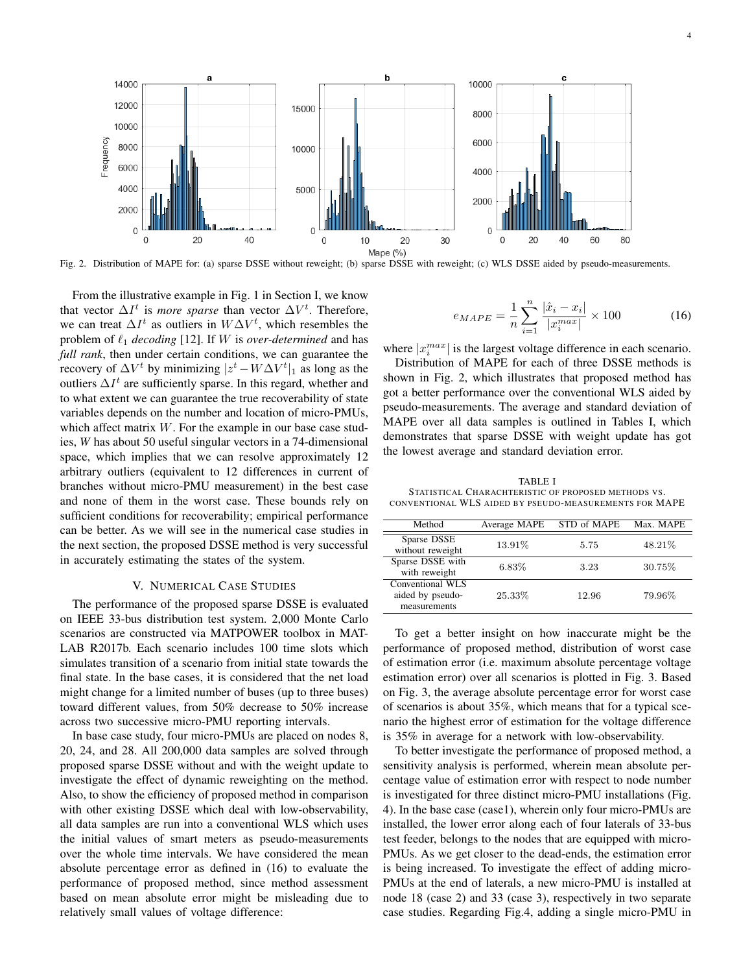

Fig. 2. Distribution of MAPE for: (a) sparse DSSE without reweight; (b) sparse DSSE with reweight; (c) WLS DSSE aided by pseudo-measurements.

From the illustrative example in Fig. 1 in Section I, we know that vector  $\Delta I^t$  is *more sparse* than vector  $\Delta V^t$ . Therefore, we can treat  $\Delta I^t$  as outliers in  $W\Delta V^t$ , which resembles the problem of  $\ell_1$  *decoding* [12]. If W is *over-determined* and has *full rank*, then under certain conditions, we can guarantee the recovery of  $\Delta V^t$  by minimizing  $|z^t - W \Delta V^t|_1$  as long as the outliers  $\Delta I^t$  are sufficiently sparse. In this regard, whether and to what extent we can guarantee the true recoverability of state variables depends on the number and location of micro-PMUs, which affect matrix  $W$ . For the example in our base case studies, *W* has about 50 useful singular vectors in a 74-dimensional space, which implies that we can resolve approximately 12 arbitrary outliers (equivalent to 12 differences in current of branches without micro-PMU measurement) in the best case and none of them in the worst case. These bounds rely on sufficient conditions for recoverability; empirical performance can be better. As we will see in the numerical case studies in the next section, the proposed DSSE method is very successful in accurately estimating the states of the system.

#### V. NUMERICAL CASE STUDIES

The performance of the proposed sparse DSSE is evaluated on IEEE 33-bus distribution test system. 2,000 Monte Carlo scenarios are constructed via MATPOWER toolbox in MAT-LAB R2017b. Each scenario includes 100 time slots which simulates transition of a scenario from initial state towards the final state. In the base cases, it is considered that the net load might change for a limited number of buses (up to three buses) toward different values, from 50% decrease to 50% increase across two successive micro-PMU reporting intervals.

In base case study, four micro-PMUs are placed on nodes 8, 20, 24, and 28. All 200,000 data samples are solved through proposed sparse DSSE without and with the weight update to investigate the effect of dynamic reweighting on the method. Also, to show the efficiency of proposed method in comparison with other existing DSSE which deal with low-observability, all data samples are run into a conventional WLS which uses the initial values of smart meters as pseudo-measurements over the whole time intervals. We have considered the mean absolute percentage error as defined in (16) to evaluate the performance of proposed method, since method assessment based on mean absolute error might be misleading due to relatively small values of voltage difference:

$$
e_{MAPE} = \frac{1}{n} \sum_{i=1}^{n} \frac{|\hat{x}_i - x_i|}{|x_i^{max}|} \times 100
$$
 (16)

where  $|x_i^{max}|$  is the largest voltage difference in each scenario.

Distribution of MAPE for each of three DSSE methods is shown in Fig. 2, which illustrates that proposed method has got a better performance over the conventional WLS aided by pseudo-measurements. The average and standard deviation of MAPE over all data samples is outlined in Tables I, which demonstrates that sparse DSSE with weight update has got the lowest average and standard deviation error.

TABLE I STATISTICAL CHARACHTERISTIC OF PROPOSED METHODS VS. CONVENTIONAL WLS AIDED BY PSEUDO-MEASUREMENTS FOR MAPE

| Method                                               | Average MAPE | STD of MAPE | Max. MAPE |
|------------------------------------------------------|--------------|-------------|-----------|
| Sparse DSSE<br>without reweight                      | 13.91%       | 5.75        | 48.21\%   |
| Sparse DSSE with<br>with reweight                    | 6.83%        | 3.23        | 30.75%    |
| Conventional WLS<br>aided by pseudo-<br>measurements | 25.33%       | 12.96       | 79.96%    |

To get a better insight on how inaccurate might be the performance of proposed method, distribution of worst case of estimation error (i.e. maximum absolute percentage voltage estimation error) over all scenarios is plotted in Fig. 3. Based on Fig. 3, the average absolute percentage error for worst case of scenarios is about 35%, which means that for a typical scenario the highest error of estimation for the voltage difference is 35% in average for a network with low-observability.

To better investigate the performance of proposed method, a sensitivity analysis is performed, wherein mean absolute percentage value of estimation error with respect to node number is investigated for three distinct micro-PMU installations (Fig. 4). In the base case (case1), wherein only four micro-PMUs are installed, the lower error along each of four laterals of 33-bus test feeder, belongs to the nodes that are equipped with micro-PMUs. As we get closer to the dead-ends, the estimation error is being increased. To investigate the effect of adding micro-PMUs at the end of laterals, a new micro-PMU is installed at node 18 (case 2) and 33 (case 3), respectively in two separate case studies. Regarding Fig.4, adding a single micro-PMU in